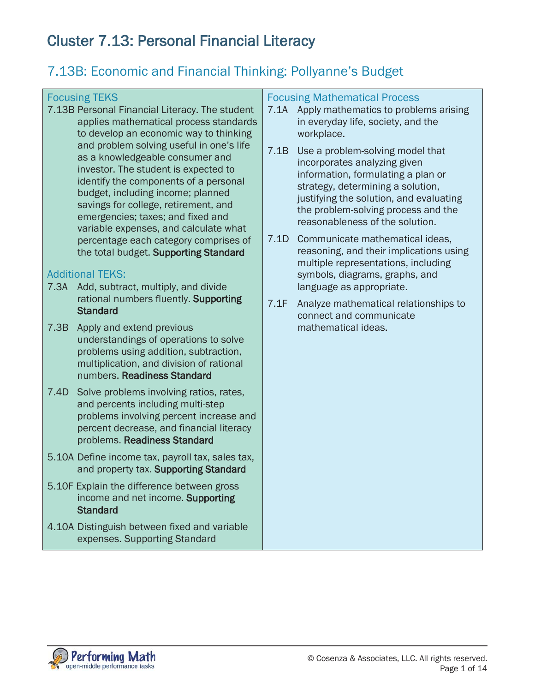# Cluster 7.13: Personal Financial Literacy

## 7.13B: Economic and Financial Thinking: Pollyanne's Budget

## Focusing TEKS

7.13B Personal Financial Literacy. The student applies mathematical process standards to develop an economic way to thinking and problem solving useful in one's life as a knowledgeable consumer and investor. The student is expected to identify the components of a personal budget, including income; planned savings for college, retirement, and emergencies; taxes; and fixed and variable expenses, and calculate what percentage each category comprises of the total budget. Supporting Standard

## Additional TEKS:

- 7.3A Add, subtract, multiply, and divide rational numbers fluently. Supporting **Standard**
- 7.3B Apply and extend previous understandings of operations to solve problems using addition, subtraction, multiplication, and division of rational numbers. Readiness Standard
- 7.4D Solve problems involving ratios, rates, and percents including multi-step problems involving percent increase and percent decrease, and financial literacy problems. Readiness Standard
- 5.10A Define income tax, payroll tax, sales tax, and property tax. Supporting Standard
- 5.10F Explain the difference between gross income and net income. Supporting **Standard**
- 4.10A Distinguish between fixed and variable expenses. Supporting Standard

#### Focusing Mathematical Process

- 7.1A Apply mathematics to problems arising in everyday life, society, and the workplace.
- 7.1B Use a problem-solving model that incorporates analyzing given information, formulating a plan or strategy, determining a solution, justifying the solution, and evaluating the problem-solving process and the reasonableness of the solution.
- 7.1D Communicate mathematical ideas, reasoning, and their implications using multiple representations, including symbols, diagrams, graphs, and language as appropriate.
- 7.1F Analyze mathematical relationships to connect and communicate mathematical ideas.

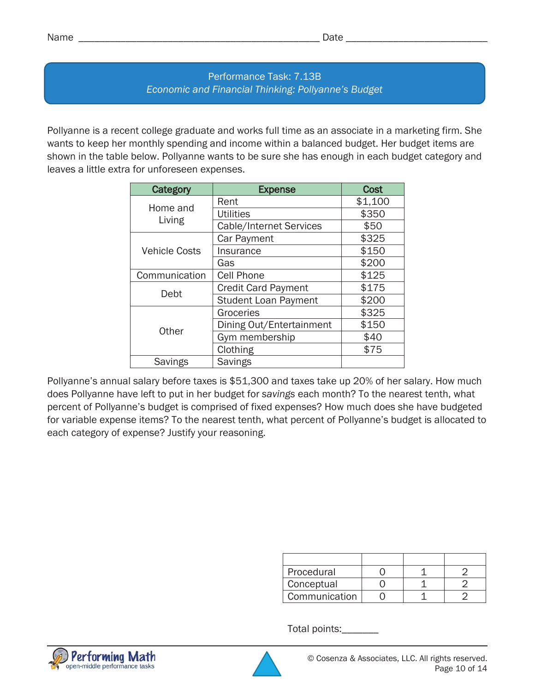Pollyanne is a recent college graduate and works full time as an associate in a marketing firm. She wants to keep her monthly spending and income within a balanced budget. Her budget items are shown in the table below. Pollyanne wants to be sure she has enough in each budget category and leaves a little extra for unforeseen expenses.

| Category             | <b>Expense</b>              | <b>Cost</b> |
|----------------------|-----------------------------|-------------|
| Home and             | Rent                        | \$1,100     |
|                      | <b>Utilities</b>            | \$350       |
| Living               | Cable/Internet Services     | \$50        |
| <b>Vehicle Costs</b> | Car Payment                 | \$325       |
|                      | Insurance                   | \$150       |
|                      | Gas                         | \$200       |
| Communication        | <b>Cell Phone</b>           | \$125       |
| Debt                 | <b>Credit Card Payment</b>  | \$175       |
|                      | <b>Student Loan Payment</b> | \$200       |
| Other                | Groceries                   | \$325       |
|                      | Dining Out/Entertainment    | \$150       |
|                      | Gym membership              | \$40        |
|                      | Clothing                    | \$75        |
| <b>Savings</b>       | <b>Savings</b>              |             |

Pollyanne's annual salary before taxes is \$51,300 and taxes take up 20% of her salary. How much does Pollyanne have left to put in her budget for *savings* each month? To the nearest tenth, what percent of Pollyanne's budget is comprised of fixed expenses? How much does she have budgeted for variable expense items? To the nearest tenth, what percent of Pollyanne's budget is allocated to each category of expense? Justify your reasoning.

| Procedural    |  |  |
|---------------|--|--|
| Conceptual    |  |  |
| Communication |  |  |

Total points:\_\_\_\_\_\_\_



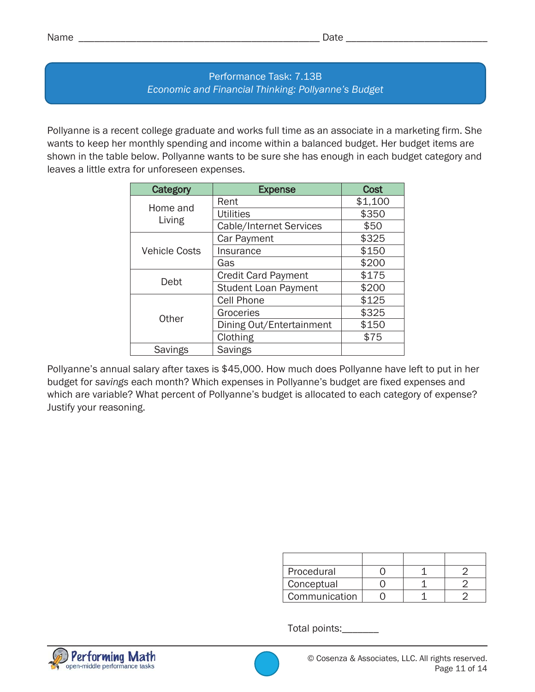Pollyanne is a recent college graduate and works full time as an associate in a marketing firm. She wants to keep her monthly spending and income within a balanced budget. Her budget items are shown in the table below. Pollyanne wants to be sure she has enough in each budget category and leaves a little extra for unforeseen expenses.

| Category             | <b>Expense</b>              | Cost    |
|----------------------|-----------------------------|---------|
| Home and             | Rent                        | \$1,100 |
|                      | <b>Utilities</b>            | \$350   |
| Living               | Cable/Internet Services     | \$50    |
| <b>Vehicle Costs</b> | Car Payment                 | \$325   |
|                      | Insurance                   | \$150   |
|                      | Gas                         | \$200   |
| Debt                 | <b>Credit Card Payment</b>  | \$175   |
|                      | <b>Student Loan Payment</b> | \$200   |
| Other                | <b>Cell Phone</b>           | \$125   |
|                      | Groceries                   | \$325   |
|                      | Dining Out/Entertainment    | \$150   |
|                      | Clothing                    | \$75    |
| <b>Savings</b>       | <b>Savings</b>              |         |

Pollyanne's annual salary after taxes is \$45,000. How much does Pollyanne have left to put in her budget for *savings* each month? Which expenses in Pollyanne's budget are fixed expenses and which are variable? What percent of Pollyanne's budget is allocated to each category of expense? Justify your reasoning.

| Procedural    |  |  |
|---------------|--|--|
| Conceptual    |  |  |
| Communication |  |  |

Total points:\_\_\_\_\_\_\_



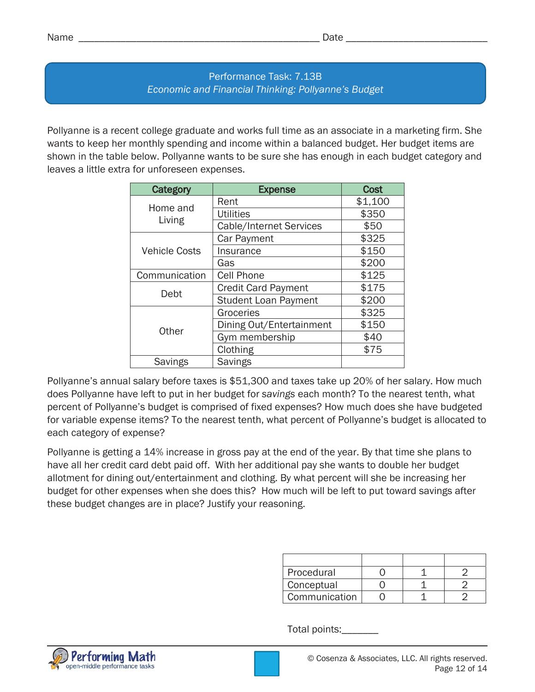Pollyanne is a recent college graduate and works full time as an associate in a marketing firm. She wants to keep her monthly spending and income within a balanced budget. Her budget items are shown in the table below. Pollyanne wants to be sure she has enough in each budget category and leaves a little extra for unforeseen expenses.

| Category             | <b>Expense</b>                 | <b>Cost</b> |
|----------------------|--------------------------------|-------------|
| Home and             | Rent                           | \$1,100     |
|                      | <b>Utilities</b>               | \$350       |
| Living               | <b>Cable/Internet Services</b> | \$50        |
| <b>Vehicle Costs</b> | Car Payment                    | \$325       |
|                      | Insurance                      | \$150       |
|                      | Gas                            | \$200       |
| Communication        | <b>Cell Phone</b>              | \$125       |
| Debt                 | <b>Credit Card Payment</b>     | \$175       |
|                      | <b>Student Loan Payment</b>    | \$200       |
| Other                | Groceries                      | \$325       |
|                      | Dining Out/Entertainment       | \$150       |
|                      | Gym membership                 | \$40        |
|                      | Clothing                       | \$75        |
| <b>Savings</b>       | <b>Savings</b>                 |             |

Pollyanne's annual salary before taxes is \$51,300 and taxes take up 20% of her salary. How much does Pollyanne have left to put in her budget for *savings* each month? To the nearest tenth, what percent of Pollyanne's budget is comprised of fixed expenses? How much does she have budgeted for variable expense items? To the nearest tenth, what percent of Pollyanne's budget is allocated to each category of expense?

Pollyanne is getting a 14% increase in gross pay at the end of the year. By that time she plans to have all her credit card debt paid off. With her additional pay she wants to double her budget allotment for dining out/entertainment and clothing. By what percent will she be increasing her budget for other expenses when she does this? How much will be left to put toward savings after these budget changes are in place? Justify your reasoning.

| Procedural    |  |  |
|---------------|--|--|
| Conceptual    |  |  |
| Communication |  |  |

Total points:\_\_\_\_\_\_\_

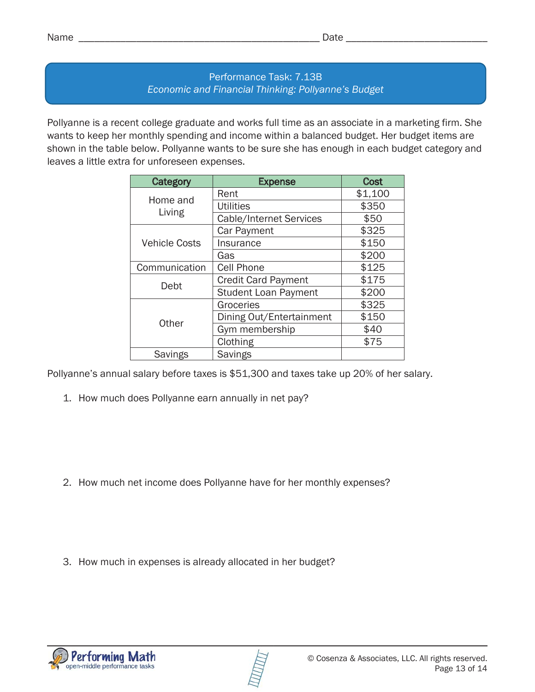Pollyanne is a recent college graduate and works full time as an associate in a marketing firm. She wants to keep her monthly spending and income within a balanced budget. Her budget items are shown in the table below. Pollyanne wants to be sure she has enough in each budget category and leaves a little extra for unforeseen expenses.

| Category             | <b>Expense</b>              | <b>Cost</b> |
|----------------------|-----------------------------|-------------|
| Home and             | Rent                        | \$1,100     |
|                      | <b>Utilities</b>            | \$350       |
| Living               | Cable/Internet Services     | \$50        |
| <b>Vehicle Costs</b> | Car Payment                 | \$325       |
|                      | Insurance                   | \$150       |
|                      | Gas                         | \$200       |
| Communication        | <b>Cell Phone</b>           | \$125       |
| Debt                 | <b>Credit Card Payment</b>  | \$175       |
|                      | <b>Student Loan Payment</b> | \$200       |
| Other                | Groceries                   | \$325       |
|                      | Dining Out/Entertainment    | \$150       |
|                      | Gym membership              | \$40        |
|                      | Clothing                    | \$75        |
| <b>Savings</b>       | <b>Savings</b>              |             |

Pollyanne's annual salary before taxes is \$51,300 and taxes take up 20% of her salary.

1. How much does Pollyanne earn annually in net pay?

- 2. How much net income does Pollyanne have for her monthly expenses?
- 3. How much in expenses is already allocated in her budget?